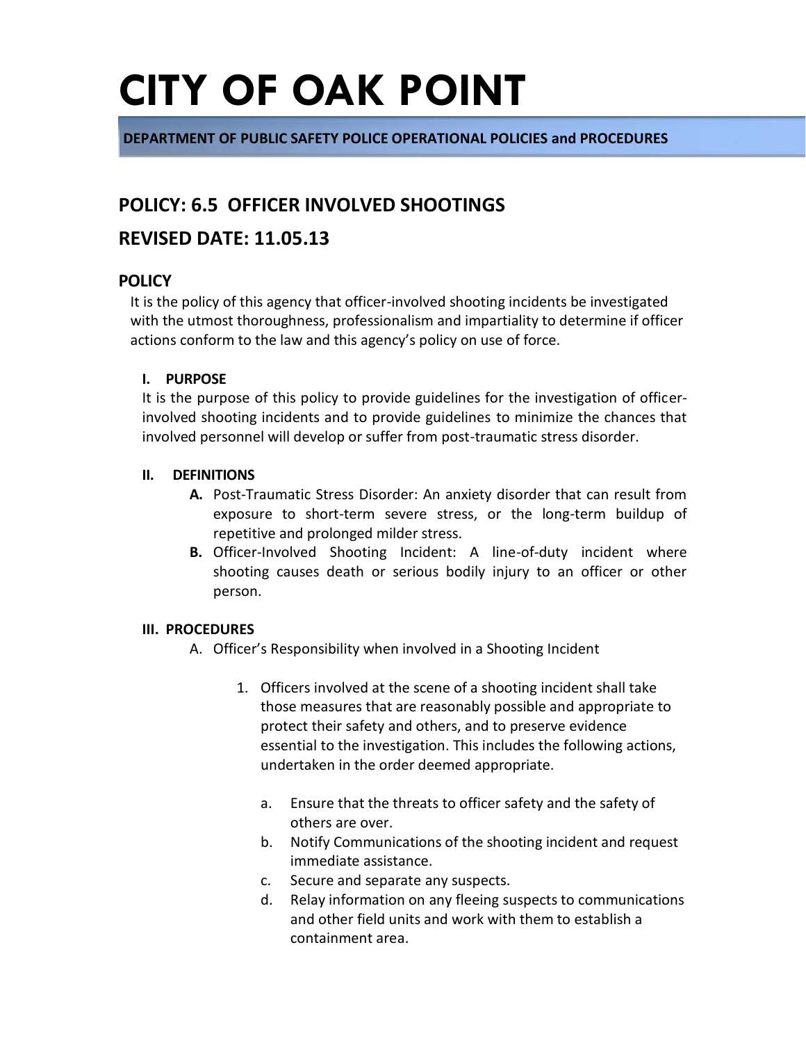**DEPARTMENT OF PUBLIC SAFETY POLICE OPERATIONAL POLICIES and PROCEDURES**

### **POLICY: 6.5 OFFICER INVOLVED SHOOTINGS**

### **REVISED DATE: 11.05.13**

#### **POLICY**

It is the policy of this agency that officer-involved shooting incidents be investigated with the utmost thoroughness, professionalism and impartiality to determine if officer actions conform to the law and this agency's policy on use of force.

#### **I. PURPOSE**

It is the purpose of this policy to provide guidelines for the investigation of officerinvolved shooting incidents and to provide guidelines to minimize the chances that involved personnel will develop or suffer from post-traumatic stress disorder.

#### **II. DEFINITIONS**

- **A.** Post-Traumatic Stress Disorder: An anxiety disorder that can result from exposure to short-term severe stress, or the long-term buildup of repetitive and prolonged milder stress.
- **B.** Officer-Involved Shooting Incident: A line-of-duty incident where shooting causes death or serious bodily injury to an officer or other person.

#### **III. PROCEDURES**

- A. Officer's Responsibility when involved in a Shooting Incident
	- 1. Officers involved at the scene of a shooting incident shall take those measures that are reasonably possible and appropriate to protect their safety and others, and to preserve evidence essential to the investigation. This includes the following actions, undertaken in the order deemed appropriate.
		- a. Ensure that the threats to officer safety and the safety of others are over.
		- b. Notify Communications of the shooting incident and request immediate assistance.
		- c. Secure and separate any suspects.
		- d. Relay information on any fleeing suspects to communications and other field units and work with them to establish a containment area.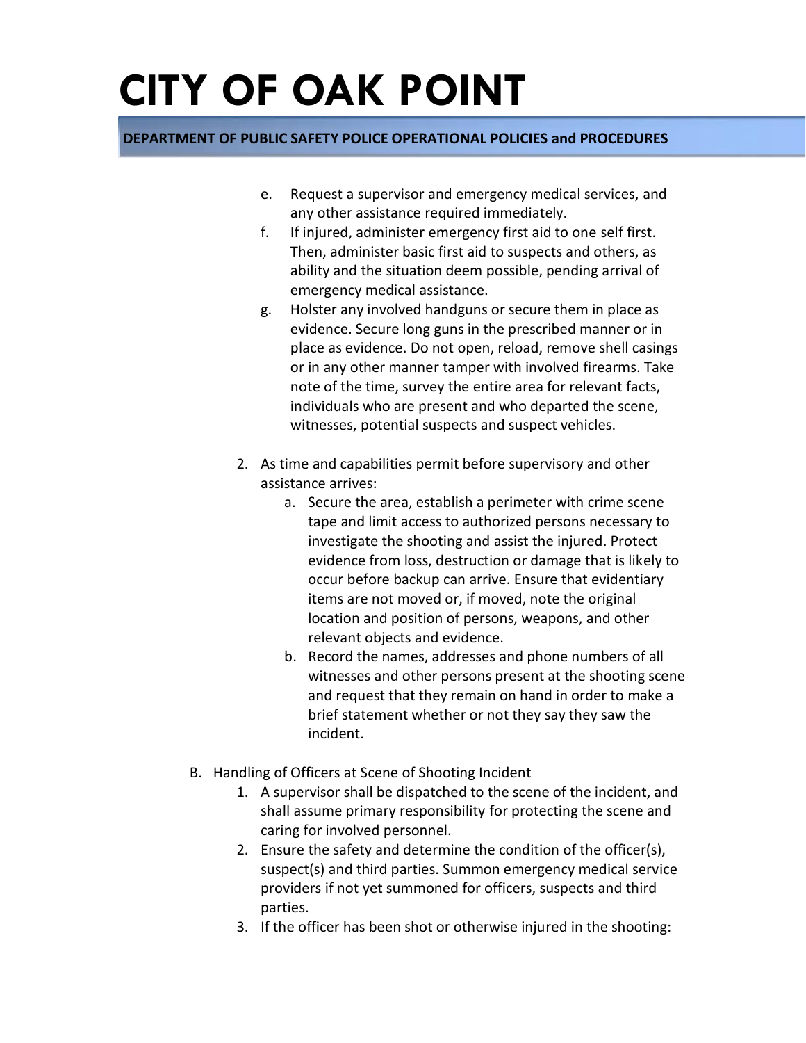- e. Request a supervisor and emergency medical services, and any other assistance required immediately.
- f. If injured, administer emergency first aid to one self first. Then, administer basic first aid to suspects and others, as ability and the situation deem possible, pending arrival of emergency medical assistance.
- g. Holster any involved handguns or secure them in place as evidence. Secure long guns in the prescribed manner or in place as evidence. Do not open, reload, remove shell casings or in any other manner tamper with involved firearms. Take note of the time, survey the entire area for relevant facts, individuals who are present and who departed the scene, witnesses, potential suspects and suspect vehicles.
- 2. As time and capabilities permit before supervisory and other assistance arrives:
	- a. Secure the area, establish a perimeter with crime scene tape and limit access to authorized persons necessary to investigate the shooting and assist the injured. Protect evidence from loss, destruction or damage that is likely to occur before backup can arrive. Ensure that evidentiary items are not moved or, if moved, note the original location and position of persons, weapons, and other relevant objects and evidence.
	- b. Record the names, addresses and phone numbers of all witnesses and other persons present at the shooting scene and request that they remain on hand in order to make a brief statement whether or not they say they saw the incident.
- B. Handling of Officers at Scene of Shooting Incident
	- 1. A supervisor shall be dispatched to the scene of the incident, and shall assume primary responsibility for protecting the scene and caring for involved personnel.
	- 2. Ensure the safety and determine the condition of the officer(s), suspect(s) and third parties. Summon emergency medical service providers if not yet summoned for officers, suspects and third parties.
	- 3. If the officer has been shot or otherwise injured in the shooting: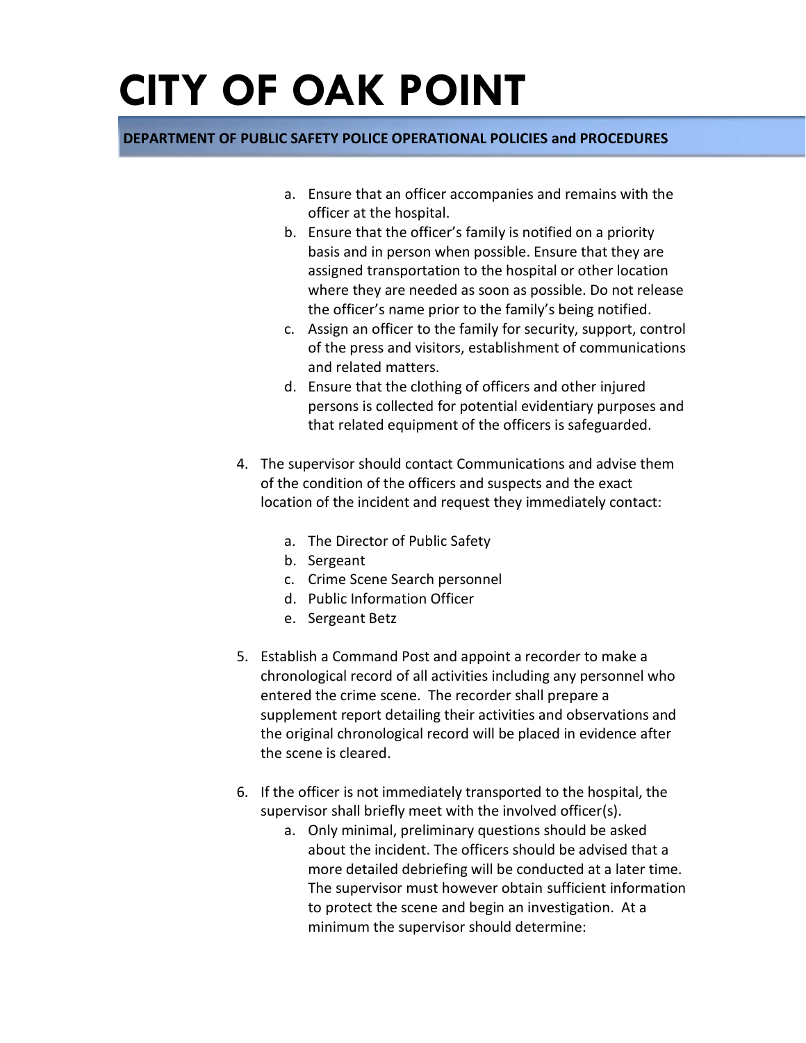- a. Ensure that an officer accompanies and remains with the officer at the hospital.
- b. Ensure that the officer's family is notified on a priority basis and in person when possible. Ensure that they are assigned transportation to the hospital or other location where they are needed as soon as possible. Do not release the officer's name prior to the family's being notified.
- c. Assign an officer to the family for security, support, control of the press and visitors, establishment of communications and related matters.
- d. Ensure that the clothing of officers and other injured persons is collected for potential evidentiary purposes and that related equipment of the officers is safeguarded.
- 4. The supervisor should contact Communications and advise them of the condition of the officers and suspects and the exact location of the incident and request they immediately contact:
	- a. The Director of Public Safety
	- b. Sergeant
	- c. Crime Scene Search personnel
	- d. Public Information Officer
	- e. Sergeant Betz
- 5. Establish a Command Post and appoint a recorder to make a chronological record of all activities including any personnel who entered the crime scene. The recorder shall prepare a supplement report detailing their activities and observations and the original chronological record will be placed in evidence after the scene is cleared.
- 6. If the officer is not immediately transported to the hospital, the supervisor shall briefly meet with the involved officer(s).
	- a. Only minimal, preliminary questions should be asked about the incident. The officers should be advised that a more detailed debriefing will be conducted at a later time. The supervisor must however obtain sufficient information to protect the scene and begin an investigation. At a minimum the supervisor should determine: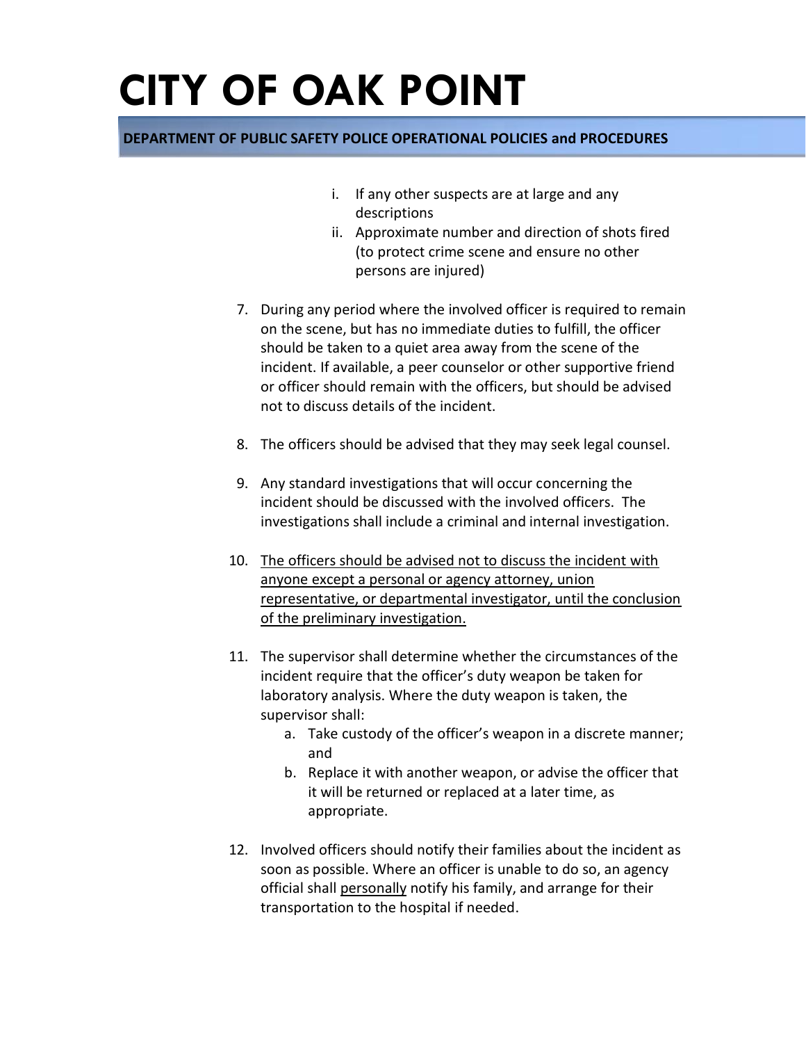- i. If any other suspects are at large and any descriptions
- ii. Approximate number and direction of shots fired (to protect crime scene and ensure no other persons are injured)
- 7. During any period where the involved officer is required to remain on the scene, but has no immediate duties to fulfill, the officer should be taken to a quiet area away from the scene of the incident. If available, a peer counselor or other supportive friend or officer should remain with the officers, but should be advised not to discuss details of the incident.
- 8. The officers should be advised that they may seek legal counsel.
- 9. Any standard investigations that will occur concerning the incident should be discussed with the involved officers. The investigations shall include a criminal and internal investigation.
- 10. The officers should be advised not to discuss the incident with anyone except a personal or agency attorney, union representative, or departmental investigator, until the conclusion of the preliminary investigation.
- 11. The supervisor shall determine whether the circumstances of the incident require that the officer's duty weapon be taken for laboratory analysis. Where the duty weapon is taken, the supervisor shall:
	- a. Take custody of the officer's weapon in a discrete manner; and
	- b. Replace it with another weapon, or advise the officer that it will be returned or replaced at a later time, as appropriate.
- 12. Involved officers should notify their families about the incident as soon as possible. Where an officer is unable to do so, an agency official shall personally notify his family, and arrange for their transportation to the hospital if needed.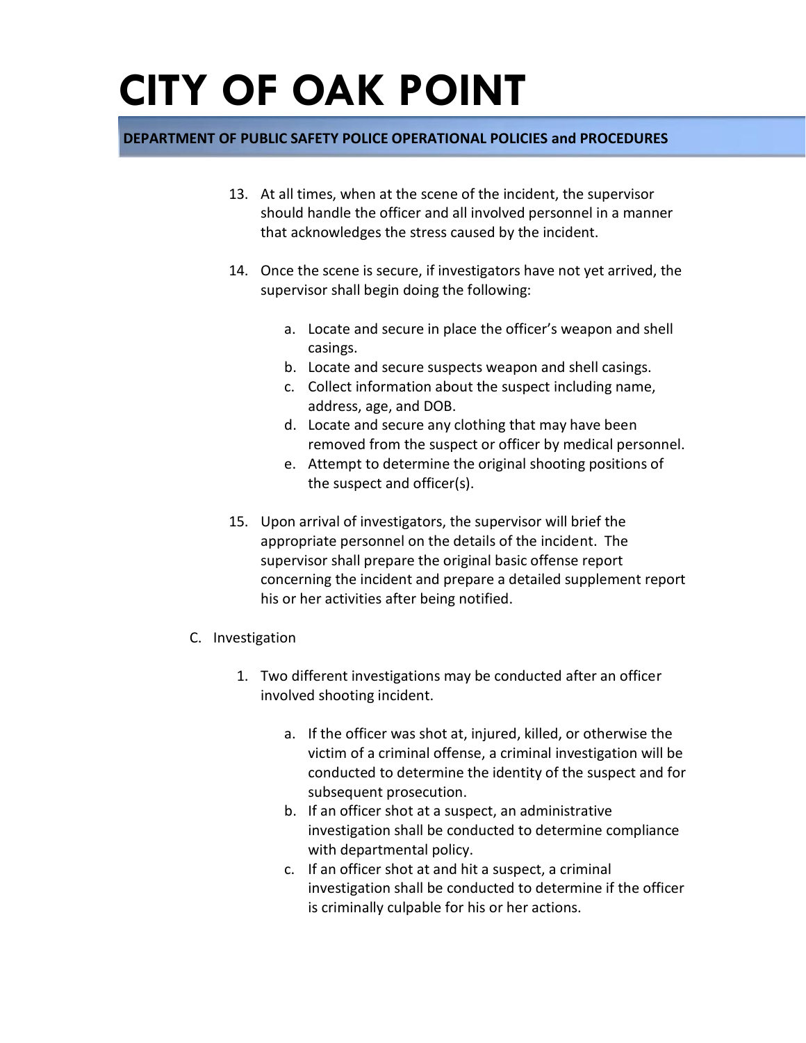- 13. At all times, when at the scene of the incident, the supervisor should handle the officer and all involved personnel in a manner that acknowledges the stress caused by the incident.
- 14. Once the scene is secure, if investigators have not yet arrived, the supervisor shall begin doing the following:
	- a. Locate and secure in place the officer's weapon and shell casings.
	- b. Locate and secure suspects weapon and shell casings.
	- c. Collect information about the suspect including name, address, age, and DOB.
	- d. Locate and secure any clothing that may have been removed from the suspect or officer by medical personnel.
	- e. Attempt to determine the original shooting positions of the suspect and officer(s).
- 15. Upon arrival of investigators, the supervisor will brief the appropriate personnel on the details of the incident. The supervisor shall prepare the original basic offense report concerning the incident and prepare a detailed supplement report his or her activities after being notified.
- C. Investigation
	- 1. Two different investigations may be conducted after an officer involved shooting incident.
		- a. If the officer was shot at, injured, killed, or otherwise the victim of a criminal offense, a criminal investigation will be conducted to determine the identity of the suspect and for subsequent prosecution.
		- b. If an officer shot at a suspect, an administrative investigation shall be conducted to determine compliance with departmental policy.
		- c. If an officer shot at and hit a suspect, a criminal investigation shall be conducted to determine if the officer is criminally culpable for his or her actions.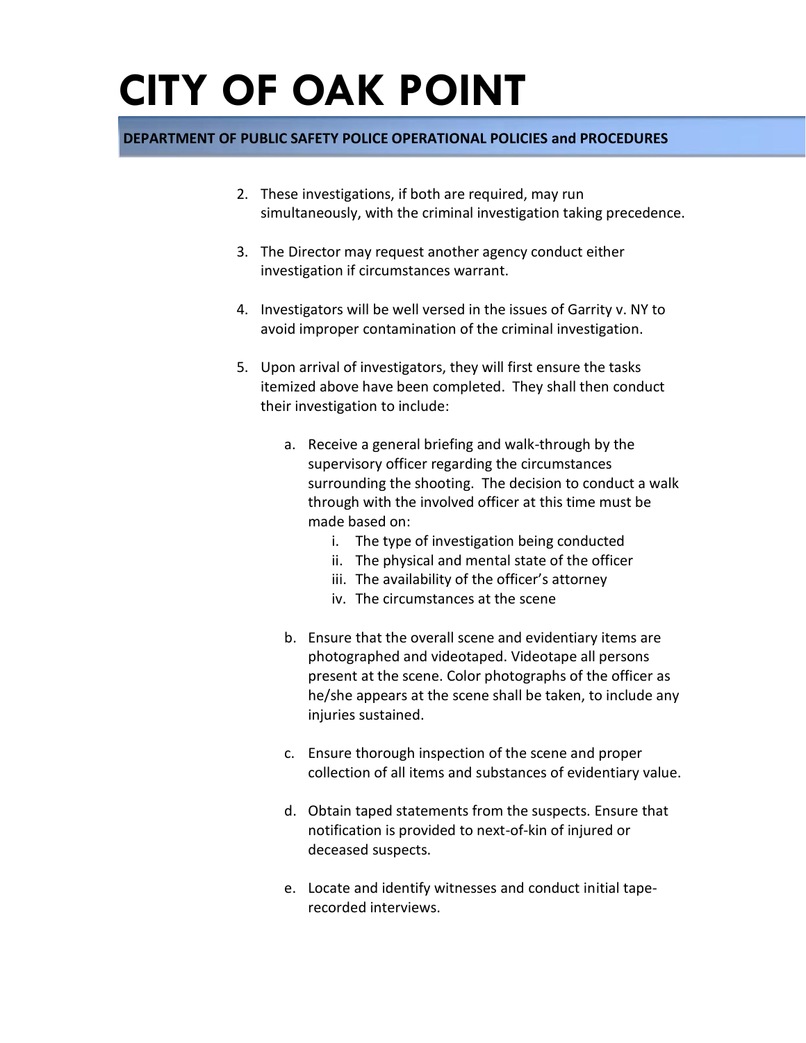- 2. These investigations, if both are required, may run simultaneously, with the criminal investigation taking precedence.
- 3. The Director may request another agency conduct either investigation if circumstances warrant.
- 4. Investigators will be well versed in the issues of Garrity v. NY to avoid improper contamination of the criminal investigation.
- 5. Upon arrival of investigators, they will first ensure the tasks itemized above have been completed. They shall then conduct their investigation to include:
	- a. Receive a general briefing and walk-through by the supervisory officer regarding the circumstances surrounding the shooting. The decision to conduct a walk through with the involved officer at this time must be made based on:
		- i. The type of investigation being conducted
		- ii. The physical and mental state of the officer
		- iii. The availability of the officer's attorney
		- iv. The circumstances at the scene
	- b. Ensure that the overall scene and evidentiary items are photographed and videotaped. Videotape all persons present at the scene. Color photographs of the officer as he/she appears at the scene shall be taken, to include any injuries sustained.
	- c. Ensure thorough inspection of the scene and proper collection of all items and substances of evidentiary value.
	- d. Obtain taped statements from the suspects. Ensure that notification is provided to next-of-kin of injured or deceased suspects.
	- e. Locate and identify witnesses and conduct initial taperecorded interviews.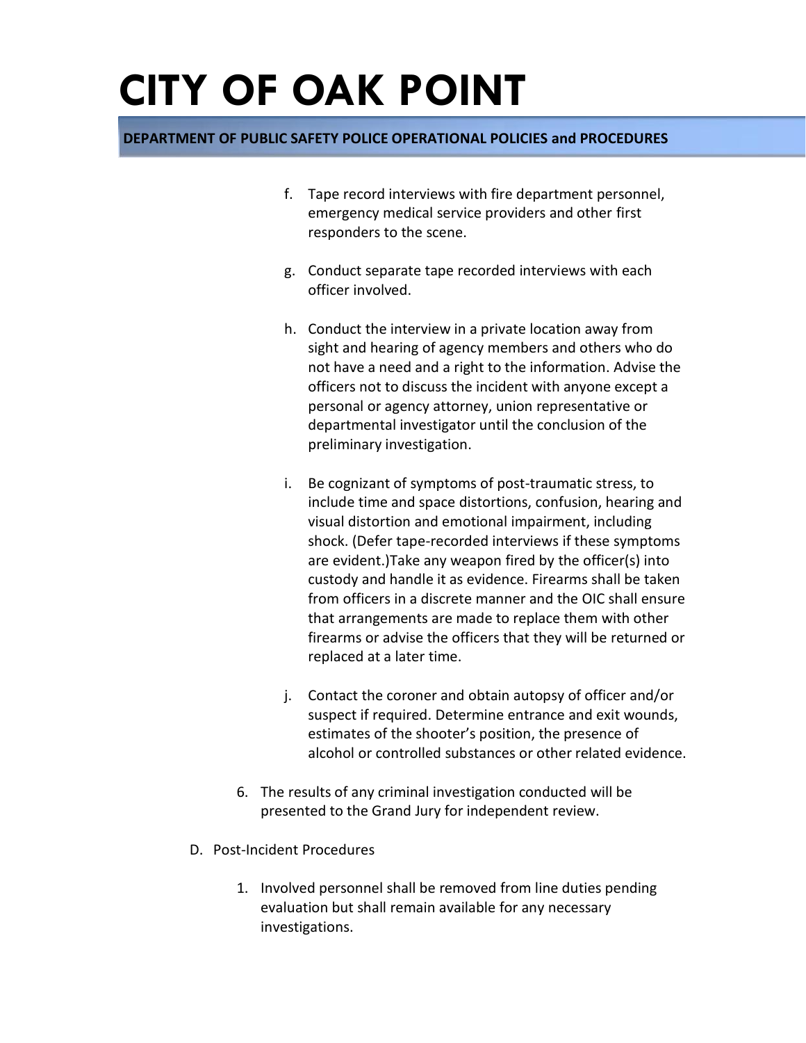- f. Tape record interviews with fire department personnel, emergency medical service providers and other first responders to the scene.
- g. Conduct separate tape recorded interviews with each officer involved.
- h. Conduct the interview in a private location away from sight and hearing of agency members and others who do not have a need and a right to the information. Advise the officers not to discuss the incident with anyone except a personal or agency attorney, union representative or departmental investigator until the conclusion of the preliminary investigation.
- i. Be cognizant of symptoms of post-traumatic stress, to include time and space distortions, confusion, hearing and visual distortion and emotional impairment, including shock. (Defer tape-recorded interviews if these symptoms are evident.)Take any weapon fired by the officer(s) into custody and handle it as evidence. Firearms shall be taken from officers in a discrete manner and the OIC shall ensure that arrangements are made to replace them with other firearms or advise the officers that they will be returned or replaced at a later time.
- j. Contact the coroner and obtain autopsy of officer and/or suspect if required. Determine entrance and exit wounds, estimates of the shooter's position, the presence of alcohol or controlled substances or other related evidence.
- 6. The results of any criminal investigation conducted will be presented to the Grand Jury for independent review.
- D. Post-Incident Procedures
	- 1. Involved personnel shall be removed from line duties pending evaluation but shall remain available for any necessary investigations.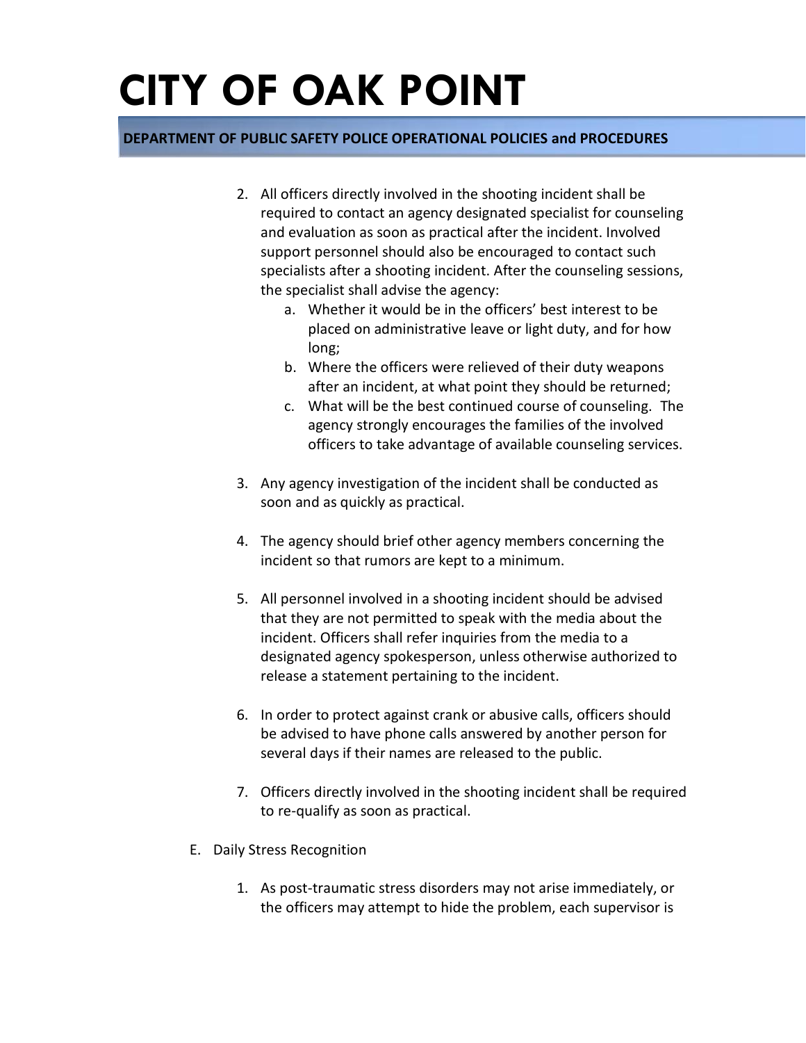- 2. All officers directly involved in the shooting incident shall be required to contact an agency designated specialist for counseling and evaluation as soon as practical after the incident. Involved support personnel should also be encouraged to contact such specialists after a shooting incident. After the counseling sessions, the specialist shall advise the agency:
	- a. Whether it would be in the officers' best interest to be placed on administrative leave or light duty, and for how long;
	- b. Where the officers were relieved of their duty weapons after an incident, at what point they should be returned;
	- c. What will be the best continued course of counseling. The agency strongly encourages the families of the involved officers to take advantage of available counseling services.
- 3. Any agency investigation of the incident shall be conducted as soon and as quickly as practical.
- 4. The agency should brief other agency members concerning the incident so that rumors are kept to a minimum.
- 5. All personnel involved in a shooting incident should be advised that they are not permitted to speak with the media about the incident. Officers shall refer inquiries from the media to a designated agency spokesperson, unless otherwise authorized to release a statement pertaining to the incident.
- 6. In order to protect against crank or abusive calls, officers should be advised to have phone calls answered by another person for several days if their names are released to the public.
- 7. Officers directly involved in the shooting incident shall be required to re-qualify as soon as practical.
- E. Daily Stress Recognition
	- 1. As post-traumatic stress disorders may not arise immediately, or the officers may attempt to hide the problem, each supervisor is